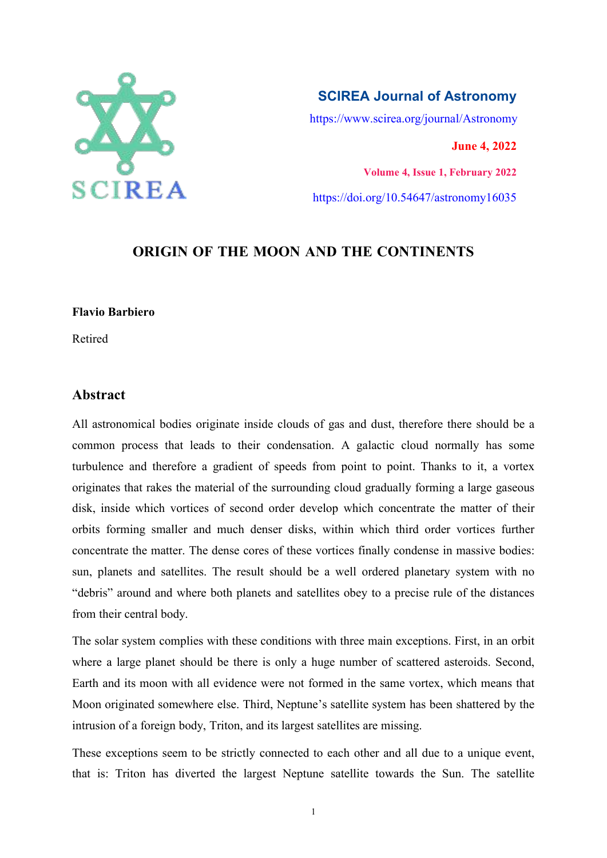

**SCIREA Journal of Astronomy** https://www.scirea.org/journal/Astronomy **June 4, 2022**

**Volume 4, Issue 1, February 2022** https://doi.org/10.54647/astronomy16035

# **ORIGIN OF THE MOON AND THE CONTINENTS**

#### **Flavio Barbiero**

Retired

## **Abstract**

All astronomical bodies originate inside clouds of gas and dust, therefore there should be a common process that leads to their condensation. A galactic cloud normally has some turbulence and therefore a gradient of speeds from point to point. Thanks to it, a vortex originates that rakes the material of the surrounding cloud gradually forming a large gaseous disk, inside which vortices of second order develop which concentrate the matter of their orbits forming smaller and much denser disks, within which third order vortices further concentrate the matter. The dense cores of these vortices finally condense in massive bodies: sun, planets and satellites. The result should be a well ordered planetary system with no "debris" around and where both planets and satellites obey to a precise rule of the distances from their central body.

The solar system complies with these conditions with three main exceptions. First, in an orbit where a large planet should be there is only a huge number of scattered asteroids. Second, Earth and its moon with all evidence were not formed in the same vortex, which means that Moon originated somewhere else. Third, Neptune's satellite system has been shattered by the intrusion of a foreign body, Triton, and its largest satellites are missing.

These exceptions seem to be strictly connected to each other and all due to a unique event, that is: Triton has diverted the largest Neptune satellite towards the Sun. The satellite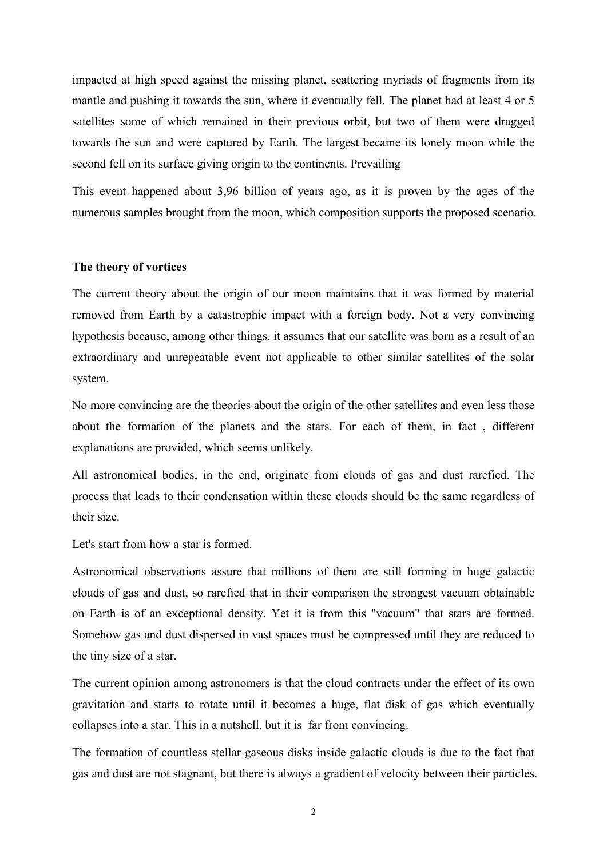impacted at high speed against the missing planet, scattering myriads of fragments from its mantle and pushing it towards the sun, where it eventually fell. The planet had at least 4 or 5 satellites some of which remained in their previous orbit, but two of them were dragged towards the sun and were captured by Earth. The largest became its lonely moon while the second fell on its surface giving origin to the continents. Prevailing

This event happened about 3,96 billion of years ago, as it is proven by the ages of the numerous samples brought from the moon, which composition supports the proposed scenario.

#### **The theory of vortices**

The current theory about the origin of our moon maintains that it was formed by material removed from Earth by a catastrophic impact with a foreign body. Not a very convincing hypothesis because, among other things, it assumes that our satellite was born as a result of an extraordinary and unrepeatable event not applicable to other similar satellites of the solar system.

No more convincing are the theories about the origin of the other satellites and even less those about the formation of the planets and the stars. For each of them, in fact , different explanations are provided, which seems unlikely.

All astronomical bodies, in the end, originate from clouds of gas and dust rarefied. The process that leads to their condensation within these clouds should be the same regardless of their size.

Let's start from how a star is formed.

Astronomical observations assure that millions of them are still forming in huge galactic clouds of gas and dust, so rarefied that in their comparison the strongest vacuum obtainable on Earth is of an exceptional density. Yet it is from this "vacuum" that stars are formed. Somehow gas and dust dispersed in vast spaces must be compressed until they are reduced to the tiny size of a star.<br>The current opinion among astronomers is that the cloud contracts under the effect of its own

gravitation and starts to rotate until it becomes a huge, flat disk of gas which eventually collapses into a star. This in a nutshell, but it is far from convincing.

The formation of countless stellar gaseous disks inside galactic clouds is due to the fact that gas and dust are not stagnant, but there is always a gradient of velocity between their particles.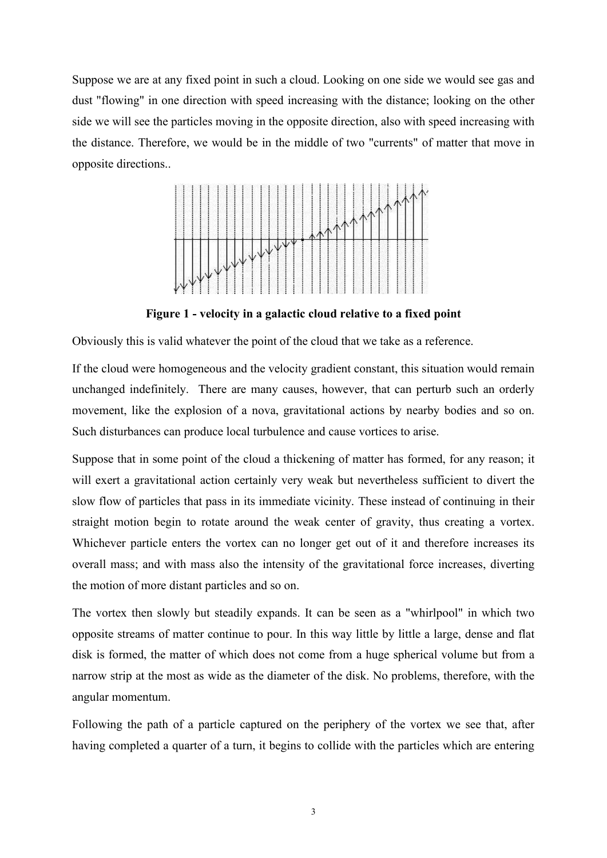Suppose we are at any fixed point in such a cloud. Looking on one side we would see gas and dust "flowing" in one direction with speed increasing with the distance; looking on the other side we will see the particles moving in the opposite direction, also with speed increasing with the distance. Therefore, we would be in the middle of two "currents" of matter that move in opposite directions..



**Figure 1 - velocity in a galactic cloud relative to a fixed point**

Obviously this is valid whatever the point of the cloud that we take as a reference.

If the cloud were homogeneous and the velocity gradient constant, this situation would remain unchanged indefinitely. There are many causes, however, that can perturb such an orderly movement, like the explosion of a nova, gravitational actions by nearby bodies and so on. Such disturbances can produce local turbulence and cause vortices to arise.

Suppose that in some point of the cloud a thickening of matter has formed, for any reason; it will exert a gravitational action certainly very weak but nevertheless sufficient to divert the slow flow of particles that pass in its immediate vicinity. These instead of continuing in their straight motion begin to rotate around the weak center of gravity, thus creating a vortex. Whichever particle enters the vortex can no longer get out of it and therefore increases its overall mass; and with mass also the intensity of the gravitational force increases, diverting the motion of more distant particles and so on.

The vortex then slowly but steadily expands. It can be seen as a "whirlpool" in which two opposite streams of matter continue to pour. In this way little by little a large, dense and flat disk is formed, the matter of which does not come from a huge spherical volume but from a narrow strip at the most as wide as the diameter of the disk. No problems, therefore, with the angular momentum.

Following the path of a particle captured on the periphery of the vortex we see that, after having completed a quarter of a turn, it begins to collide with the particles which are entering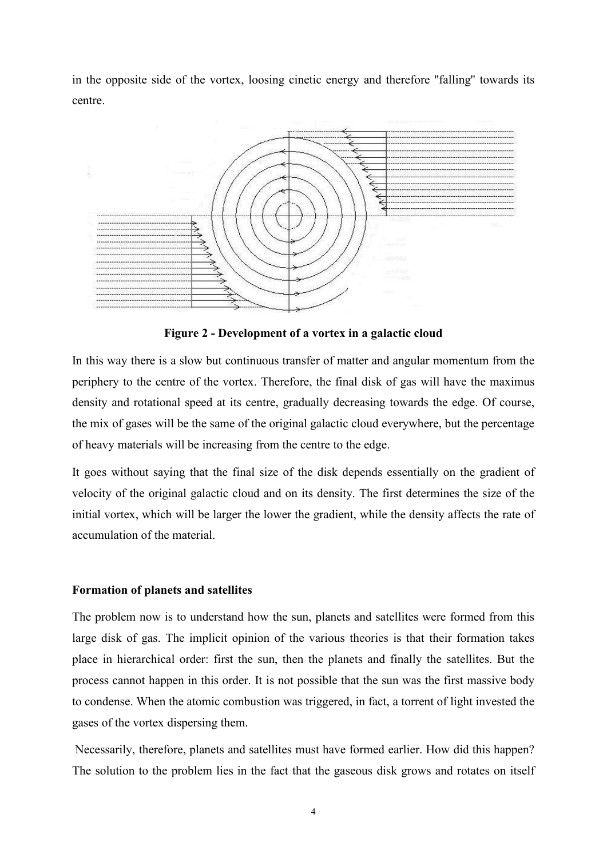in the opposite side of the vortex, loosing cinetic energy and therefore ''falling'' towards its centre.



**Figure 2 - Development of a vortex in a galactic cloud**

In this way there is a slow but continuous transfer of matter and angular momentum from the periphery to the centre of the vortex. Therefore, the final disk of gas will have the maximus density and rotational speed at its centre, gradually decreasing towards the edge. Of course, the mix of gases will be the same of the original galactic cloud everywhere, but the percentage of heavy materials will be increasing from the centre to the edge.

It goes without saying that the final size of the disk depends essentially on the gradient of velocity of the original galactic cloud and on its density. The first determines the size of the initial vortex, which will be larger the lower the gradient, while the density affects the rate of accumulation of the material.

## **Formation of planets and satellites**

The problem now is to understand how the sun, planets and satellites were formed from this large disk of gas. The implicit opinion of the various theories is that their formation takes place in hierarchical order: first the sun, then the planets and finally the satellites. But the process cannot happen in this order.It is not possible that the sun was the first massive body to condense. When the atomic combustion was triggered, in fact, a torrent of light invested the gases of the vortex dispersing them.

Necessarily, therefore, planets and satellites must have formed earlier. How did this happen? The solution to the problem lies in the fact that the gaseous disk grows and rotates on itself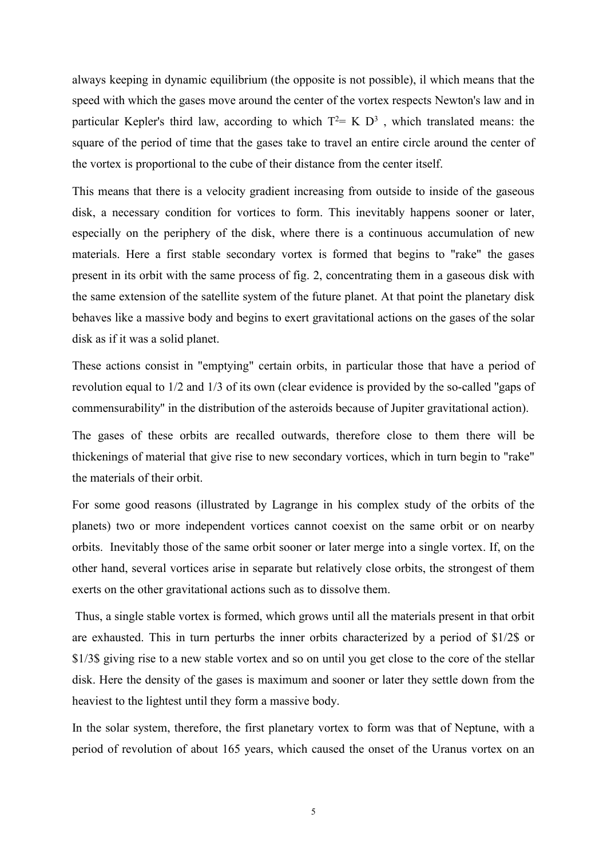always keeping in dynamic equilibrium (the opposite is not possible), il which means that the speed with which the gases move around the center of the vortex respects Newton's law and in particular Kepler's third law, according to which  $T^2 = K D^3$ , which translated means: the square of the period of time that the gases take to travel an entire circle around the center of the vortex is proportional to the cube of their distance from the center itself.

This means that there is a velocity gradient increasing from outside to inside of the gaseous disk, a necessary condition for vortices to form. This inevitably happens sooner or later, especially on the periphery of the disk, where there is a continuous accumulation of new materials. Here a first stable secondary vortex is formed that begins to "rake" the gases present in its orbit with the same process of fig. 2, concentrating them in a gaseous disk with the same extension of the satellite system of the future planet. Atthat point the planetary disk behaves like a massive body and begins to exert gravitational actions on the gases of the solar disk as if it was a solid planet.

These actions consist in "emptying" certain orbits, in particular those that have a period of revolution equal to 1/2 and 1/3 of its own (clear evidence is provided by the so-called ''gaps of commensurability'' in the distribution of the asteroids because of Jupiter gravitational action).

The gases of these orbits are recalled outwards, therefore close to them there will be thickenings of material that give rise to new secondary vortices, which in turn begin to "rake" the materials of their orbit.

For some good reasons (illustrated by Lagrange in his complex study of the orbits of the planets) two or more independent vortices cannot coexist on the same orbit or on nearby orbits. Inevitably those of the same orbit sooner or later merge into a single vortex. If, on the other hand, several vortices arise in separate but relatively close orbits, the strongest of them exerts on the other gravitational actions such as to dissolve them.

Thus, a single stable vortex is formed, which grows until all the materials present in that orbit are exhausted. This in turn perturbs the inner orbits characterized by a period of \$1/2\$ or \$1/3\$ giving rise to a new stable vortex and so on until you get close to the core of the stellar disk. Here the density of the gases is maximum and sooner or later they settle down from the heaviest to the lightest until they form a massive body.

In the solar system, therefore, the first planetary vortex to form was that of Neptune, with a period of revolution of about 165 years, which caused the onset of the Uranus vortex on an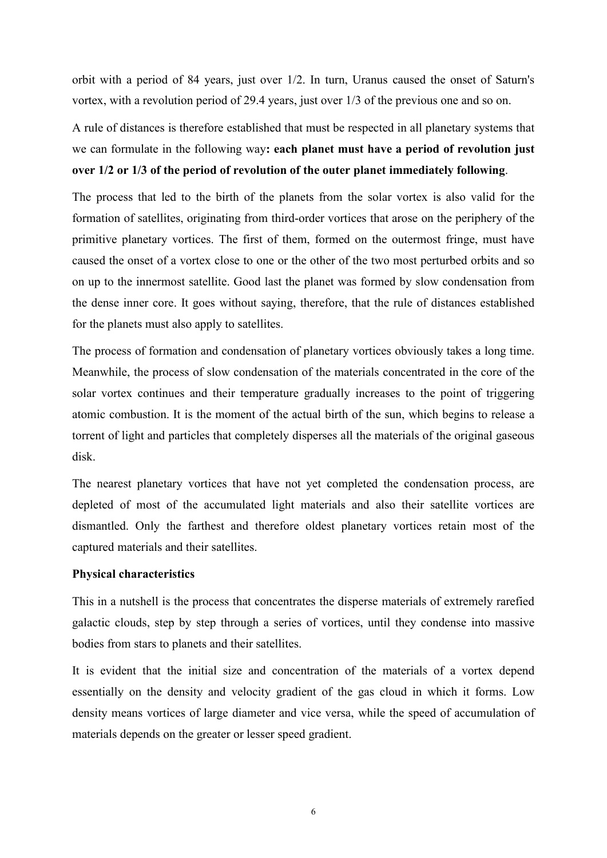orbit with a period of 84 years, just over 1/2. In turn, Uranus caused the onset of Saturn's vortex, with a revolution period of 29.4 years, just over 1/3 of the previous one and so on.

A rule of distances is therefore established that must be respected in all planetary systems that we can formulate in the following way**: each planet must have a period of revolution just over 1/2 or 1/3 of the period of revolution of the outer planet immediately following**.

The process that led to the birth of the planets from the solar vortex is also valid for the formation of satellites, originating from third-order vortices that arose on the periphery of the primitive planetary vortices. The first of them, formed on the outermost fringe, must have caused the onset of a vortex close to one or the other of the two most perturbed orbits and so on up to the innermost satellite. Good last the planet was formed by slow condensation from the dense inner core. It goes without saying, therefore, that the rule of distances established for the planets must also apply to satellites.

The process of formation and condensation of planetary vortices obviously takes a long time. Meanwhile, the process of slow condensation of the materials concentrated in the core of the solar vortex continues and their temperature gradually increases to the point of triggering atomic combustion. It is the moment of the actual birth of the sun, which begins to release a torrent of light and particles that completely disperses all the materials of the original gaseous disk.

The nearest planetary vortices that have not yet completed the condensation process, are depleted of most of the accumulated light materials and also their satellite vortices are dismantled. Only the farthest and therefore oldest planetary vortices retain most of the captured materials and their satellites.

## **Physical characteristics**

This in a nutshell is the process that concentrates the disperse materials of extremely rarefied galactic clouds, step by step through a series of vortices, until they condense into massive bodies from stars to planets and their satellites.

It is evident that the initial size and concentration of the materials of a vortex depend essentially on the density and velocity gradient of the gas cloud in which it forms. Low density means vortices of large diameter and vice versa, while the speed of accumulation of materials depends on the greater or lesser speed gradient.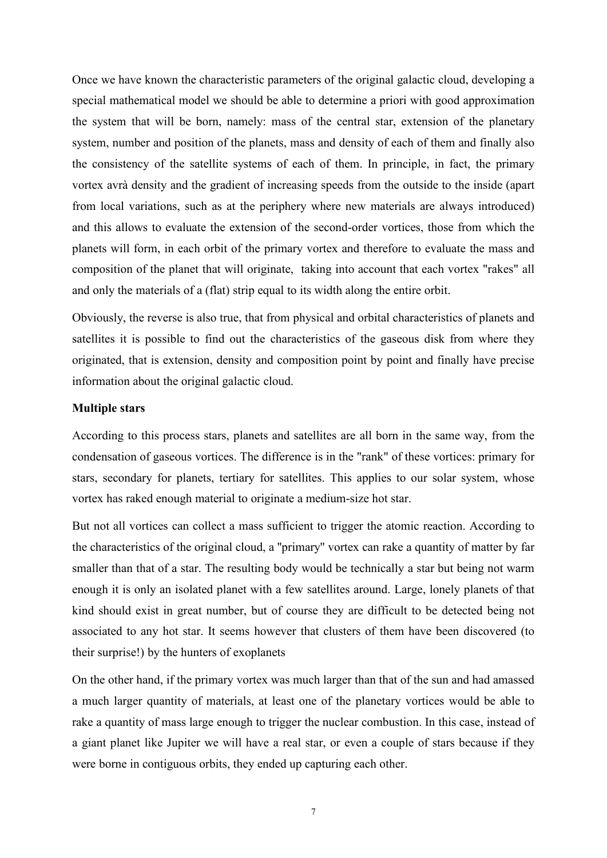Once we have known the characteristic parameters of the original galactic cloud, developing a special mathematical model we should be able to determine a priori with good approximation the system that will be born, namely: mass of the central star, extension of the planetary system, number and position of the planets, mass and density of each of them and finally also the consistency of the satellite systems of each of them. In principle, in fact, the primary vortex avrà density and the gradient of increasing speeds from the outside to the inside (apart from local variations, such as at the periphery where new materials are always introduced) and this allows to evaluate the extension of the second-order vortices, those from which the planets will form, in each orbit of the primary vortex and therefore to evaluate the mass and composition of the planet that will originate, taking into account that each vortex "rakes" all and only the materials of a (flat) strip equal to its width along the entire orbit.

Obviously, the reverse is also true, that from physical and orbital characteristics of planets and satellites it is possible to find out the characteristics of the gaseous disk from where they originated, that is extension, density and composition point by point and finally have precise information about the original galactic cloud.

#### **Multiple stars**

According to this process stars, planets and satellites are all born in the same way, from the condensation of gaseous vortices. The difference is in the "rank" of these vortices: primary for stars, secondary for planets, tertiary for satellites. This applies to our solar system, whose vortex has raked enough material to originate a medium-size hot star.

But not all vortices can collect a mass sufficient to trigger the atomic reaction. According to the characteristics of the original cloud, a "primary" vortex can rake a quantity of matter by far smaller than that of a star. The resulting body would be technically a star but being not warm enough it is only an isolated planet with a few satellites around. Large, lonely planets of that kind should exist in great number, but of course they are difficult to be detected being not associated to any hot star. It seems however that clusters of them have been discovered (to their surprise!) by the hunters of exoplanets

On the other hand, if the primary vortex was much larger than that of the sun and had amassed a much larger quantity of materials, at least one of the planetary vortices would be able to rake a quantity of mass large enough to trigger the nuclear combustion. In this case, instead of a giant planet like Jupiter we will have a real star, or even a couple of stars because if they were borne in contiguous orbits, they ended up capturing each other.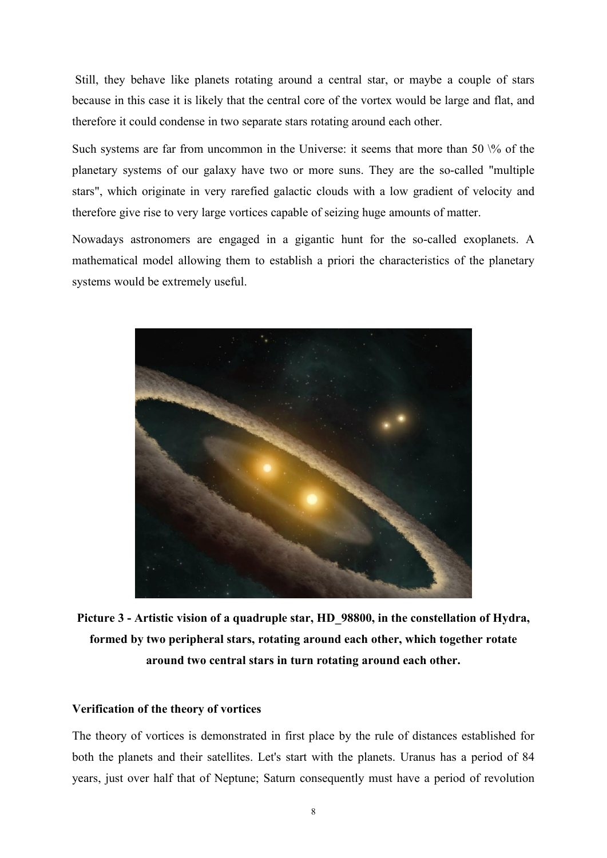Still, they behave like planets rotating around a central star, or maybe a couple of stars because in this case it is likely that the central core of the vortex would be large and flat, and therefore it could condense in two separate stars rotating around each other.

Such systems are far from uncommon in the Universe: it seems that more than 50  $\%$  of the planetary systems of our galaxy have two or more suns. They are the so-called "multiple stars", which originate in very rarefied galactic clouds with a low gradient of velocity and therefore give rise to very large vortices capable of seizing huge amounts of matter.

Nowadays astronomers are engaged in a gigantic hunt for the so-called exoplanets. A mathematical model allowing them to establish a priori the characteristics of the planetary systems would be extremely useful.



**Picture 3 - Artistic vision of a quadruple star, HD\_98800, in the constellation of Hydra, formed by two peripheral stars, rotating around each other, which together rotate around two central stars in turn rotating around each other.**

#### **Verification of the theory of vortices**

The theory of vortices is demonstrated in first place by the rule of distances established for both the planets and their satellites. Let's start with the planets. Uranus has a period of 84 years, just over half that of Neptune; Saturn consequently must have a period of revolution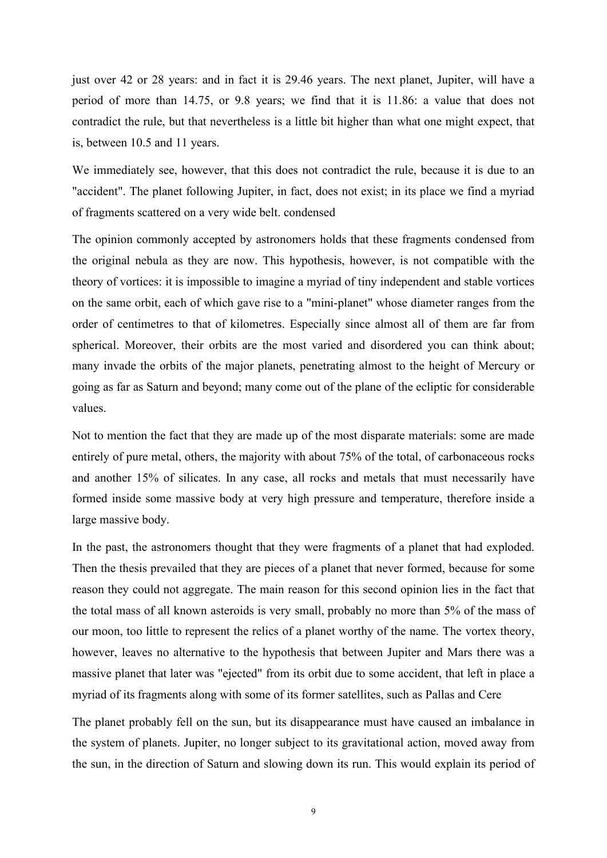just over 42 or 28 years: and in fact it is 29.46 years. The next planet, Jupiter, will have a period of more than 14.75, or 9.8 years; we find that it is 11.86: a value that does not contradict the rule, but that nevertheless is a little bit higher than what one might expect, that is, between 10.5 and 11 years.

We immediately see, however, that this does not contradict the rule, because it is due to an "accident". The planet following Jupiter, in fact, does not exist; in its place we find a myriad of fragments scattered on a very wide belt. condensed

The opinion commonly accepted by astronomers holds that these fragments condensed from the original nebula as they are now. This hypothesis, however, is not compatible with the theory of vortices: it is impossible to imagine a myriad of tiny independent and stable vortices on the same orbit, each of which gave rise to a "mini-planet" whose diameter ranges from the order of centimetres to that of kilometres. Especially since almost all of them are far from spherical. Moreover, their orbits are the most varied and disordered you can think about; many invade the orbits of the major planets, penetrating almost to the height of Mercury or going as far as Saturn and beyond; many come out of the plane of the ecliptic for considerable values.

Not to mention the fact that they are made up of the most disparate materials: some are made entirely of pure metal, others, the majority with about 75% of the total, of carbonaceous rocks and another 15% of silicates. In any case, all rocks and metals that must necessarily have formed inside some massive body at very high pressure and temperature, therefore inside a large massive body.

In the past, the astronomers thought that they were fragments of a planet that had exploded. Then the thesis prevailed that they are pieces of a planet that never formed, because for some reason they could not aggregate. The main reason for this second opinion lies in the fact that the total mass of all known asteroids is very small, probably no more than 5% of the mass of our moon, too little to represent the relics of a planet worthy of the name. The vortex theory, however, leaves no alternative to the hypothesis that between Jupiter and Mars there was a massive planet that later was "ejected" from its orbit due to some accident, that left in place a myriad of its fragments along with some of its former satellites, such as Pallas and Cere

The planet probably fell on the sun, but its disappearance must have caused an imbalance in the system of planets. Jupiter, no longer subject to its gravitational action, moved away from the sun, in the direction of Saturn and slowing down its run. This would explain its period of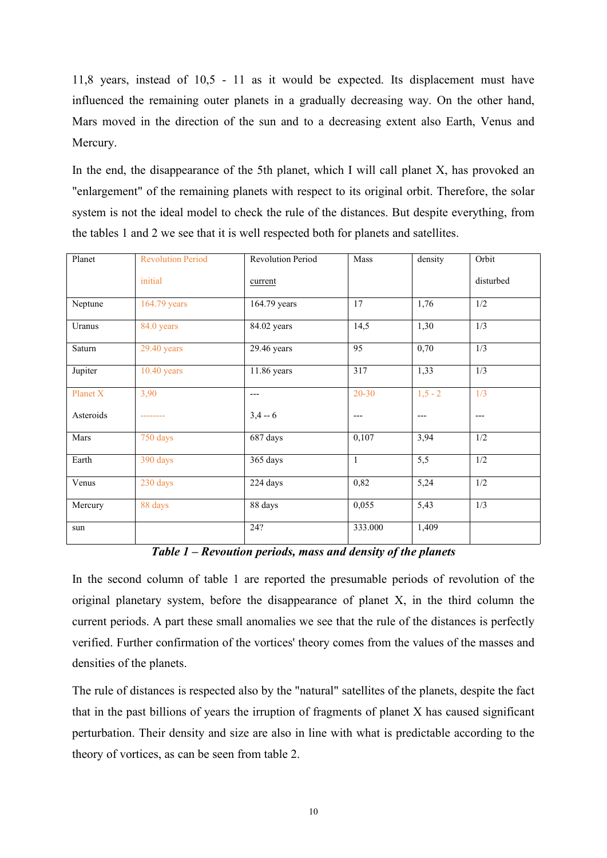11,8 years, instead of 10,5 - 11 as it would be expected. Its displacement must have influenced the remaining outer planets in a gradually decreasing way. On the other hand, Mars moved in the direction of the sun and to a decreasing extent also Earth, Venus and Mercury.

In the end, the disappearance of the 5th planet, which I will call planet  $X$ , has provoked an "enlargement" of the remaining planets with respect to its original orbit. Therefore, the solar system is not the ideal model to check the rule of the distances. But despite everything, from the tables 1 and 2 we see that it is well respected both for planets and satellites.

| Planet    | <b>Revolution Period</b> | <b>Revolution Period</b> | Mass      | density          | Orbit     |
|-----------|--------------------------|--------------------------|-----------|------------------|-----------|
|           | initial                  | current                  |           |                  | disturbed |
| Neptune   | 164.79 years             | 164.79 years             | 17        | 1,76             | 1/2       |
| Uranus    | 84.0 years               | 84.02 years              | 14,5      | 1,30             | 1/3       |
| Saturn    | $29.40$ years            | $29.46$ years            | 95        | 0,70             | 1/3       |
| Jupiter   | $10.40$ years            | 11.86 years              | 317       | 1,33             | 1/3       |
| Planet X  | 3,90                     | $---$                    | $20 - 30$ | $1,5 - 2$        | 1/3       |
| Asteroids | ---------                | $3,4 - 6$                | $---$     | $---$            | $---$     |
| Mars      | 750 days                 | 687 days                 | 0,107     | 3,94             | 1/2       |
| Earth     | 390 days                 | 365 days                 | 1         | $\overline{5,5}$ | 1/2       |
| Venus     | 230 days                 | 224 days                 | 0,82      | 5,24             | 1/2       |
| Mercury   | 88 days                  | 88 days                  | 0,055     | 5,43             | 1/3       |
| sun       |                          | 24?                      | 333.000   | 1,409            |           |

*Table 1 – Revoution periods, mass and density of the planets*

In the second column of table 1 are reported the presumable periods of revolution of the original planetary system, before the disappearance of planet X, in the third column the current periods. A part these small anomalies we see that the rule of the distances is perfectly verified. Further confirmation of the vortices' theory comes from the values of the masses and densities of the planets.

The rule of distances is respected also by the "natural" satellites of the planets, despite the fact that in the past billions of years the irruption of fragments of planet X has caused significant perturbation. Their density and size are also in line with what is predictable according to the theory of vortices, as can be seen from table 2.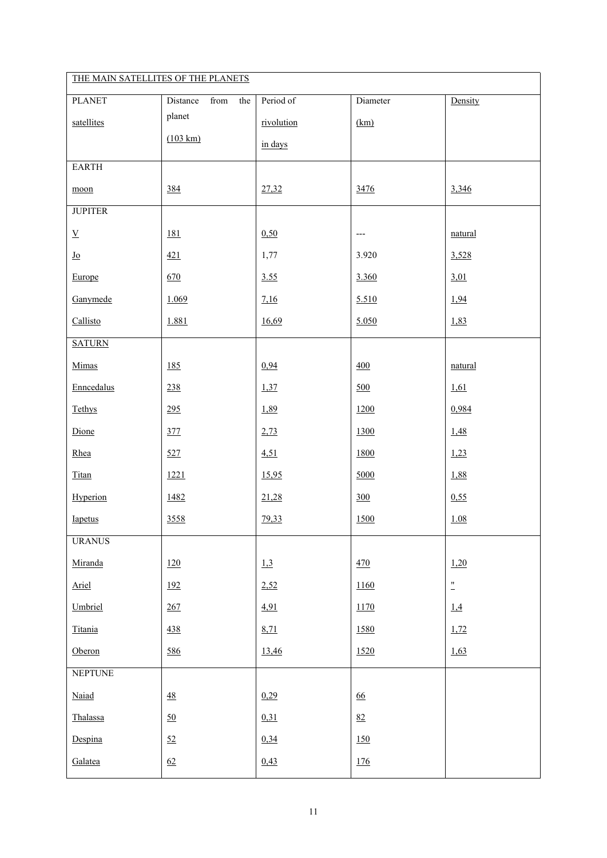| THE MAIN SATELLITES OF THE PLANETS |                         |            |                                   |                 |  |  |
|------------------------------------|-------------------------|------------|-----------------------------------|-----------------|--|--|
| <b>PLANET</b>                      | from<br>the<br>Distance | Period of  | Diameter                          | Density         |  |  |
| satellites                         | planet                  | rivolution | (km)                              |                 |  |  |
|                                    | $(103 \text{ km})$      | in days    |                                   |                 |  |  |
| <b>EARTH</b>                       |                         |            |                                   |                 |  |  |
| $moon$                             | 384                     | 27,32      | 3476                              | 3,346           |  |  |
| <b>JUPITER</b>                     |                         |            |                                   |                 |  |  |
| $\underline{\mathbf{V}}$           | 181                     | 0,50       | $\hspace{0.05cm} \dashrightarrow$ | natural         |  |  |
| $\underline{\mathbf{J}\mathbf{o}}$ | 421                     | 1,77       | 3.920                             | 3,528           |  |  |
| Europe                             | 670                     | 3.55       | 3.360                             | 3,01            |  |  |
| Ganymede                           | 1.069                   | 7,16       | 5.510                             | 1,94            |  |  |
| Callisto                           | 1.881                   | 16,69      | 5.050                             | 1,83            |  |  |
| <b>SATURN</b>                      |                         |            |                                   |                 |  |  |
| Mimas                              | 185                     | 0,94       | 400                               | natural         |  |  |
| Enncedalus                         | 238                     | 1,37       | 500                               | 1,61            |  |  |
| Tethys                             | 295                     | 1,89       | 1200                              | 0,984           |  |  |
| Dione                              | 377                     | 2,73       | 1300                              | 1,48            |  |  |
| Rhea                               | 527                     | 4,51       | 1800                              | 1,23            |  |  |
| Titan                              | 1221                    | 15,95      | 5000                              | 1,88            |  |  |
| Hyperion                           | 1482                    | 21,28      | 300                               | 0,55            |  |  |
| Iapetus                            | 3558                    | 79,33      | 1500                              | 1.08            |  |  |
| <b>URANUS</b>                      |                         |            |                                   |                 |  |  |
| Miranda                            | 120                     | 1,3        | 470                               | 1,20            |  |  |
| Ariel                              | 192                     | 2,52       | 1160                              | $\frac{1}{\pi}$ |  |  |
| Umbriel                            | 267                     | 4,91       | 1170                              | 1.4             |  |  |
| Titania                            | 438                     | 8,71       | 1580                              | 1,72            |  |  |
| Oberon                             | 586                     | 13,46      | 1520                              | 1,63            |  |  |
| <b>NEPTUNE</b>                     |                         |            |                                   |                 |  |  |
| Naiad                              | $\underline{48}$        | 0,29       | $\underline{66}$                  |                 |  |  |
| Thalassa                           | 50                      | 0,31       | 82                                |                 |  |  |
| Despina                            | 52                      | 0,34       | <u>150</u>                        |                 |  |  |
| Galatea                            | 62                      | 0,43       | <u>176</u>                        |                 |  |  |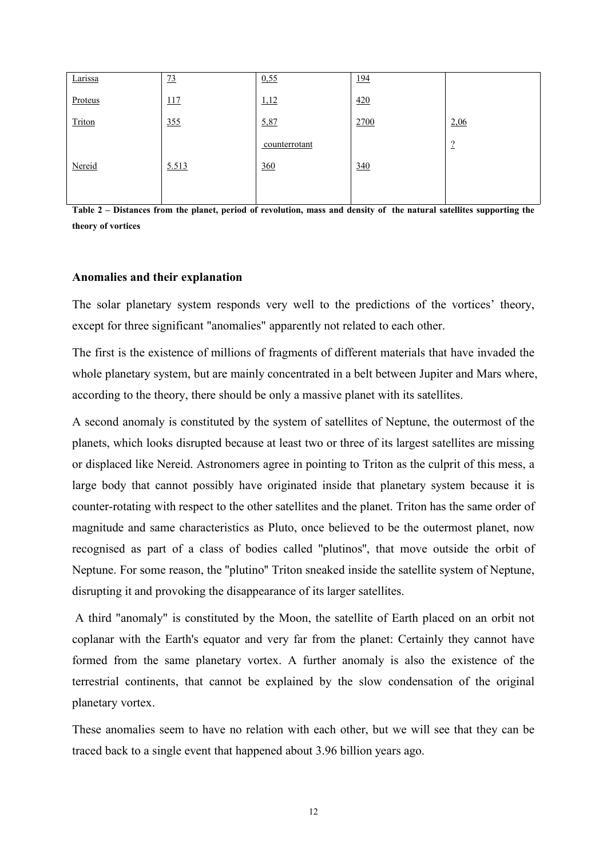| Larissa | 73    | 0,55          | 194  |                    |
|---------|-------|---------------|------|--------------------|
| Proteus | 117   | 1,12          | 420  |                    |
| Triton  | 355   | 5,87          | 2700 | 2,06               |
|         |       | counterrotant |      | $\mathcal{D}$<br>÷ |
| Nereid  | 5.513 | 360           | 340  |                    |
|         |       |               |      |                    |

Table 2 – Distances from the planet, period of revolution, mass and density of the natural satellites supporting the **theory of vortices**

#### **Anomalies and their explanation**

The solar planetary system responds very well to the predictions of the vortices' theory, except for three significant "anomalies" apparently not related to each other.

The first is the existence of millions of fragments of different materials that have invaded the whole planetary system, but are mainly concentrated in a belt between Jupiter and Mars where, according to the theory, there should be only a massive planet with its satellites.

A second anomaly is constituted by the system of satellites of Neptune, the outermost of the planets, which looks disrupted because at least two or three of its largest satellites are missing or displaced like Nereid. Astronomers agree in pointing to Triton as the culprit of this mess, a large body that cannot possibly have originated inside that planetary system because it is counter-rotating with respect to the other satellites and the planet. Triton has the same order of magnitude and same characteristics as Pluto, once believed to be the outermost planet, now recognised as part of a class of bodies called ''plutinos'', that move outside the orbit of Neptune. For some reason, the ''plutino'' Triton sneaked inside the satellite system of Neptune, disrupting it and provoking the disappearance of its larger satellites.

A third "anomaly" is constituted by the Moon, the satellite of Earth placed on an orbit not coplanar with the Earth's equator and very far from the planet: Certainly they cannot have formed from the same planetary vortex. A further anomaly is also the existence of the terrestrial continents, that cannot be explained by the slow condensation of the original planetary vortex.

These anomalies seem to have no relation with each other, but we will see that they can be traced back to a single event that happened about 3.96 billion years ago.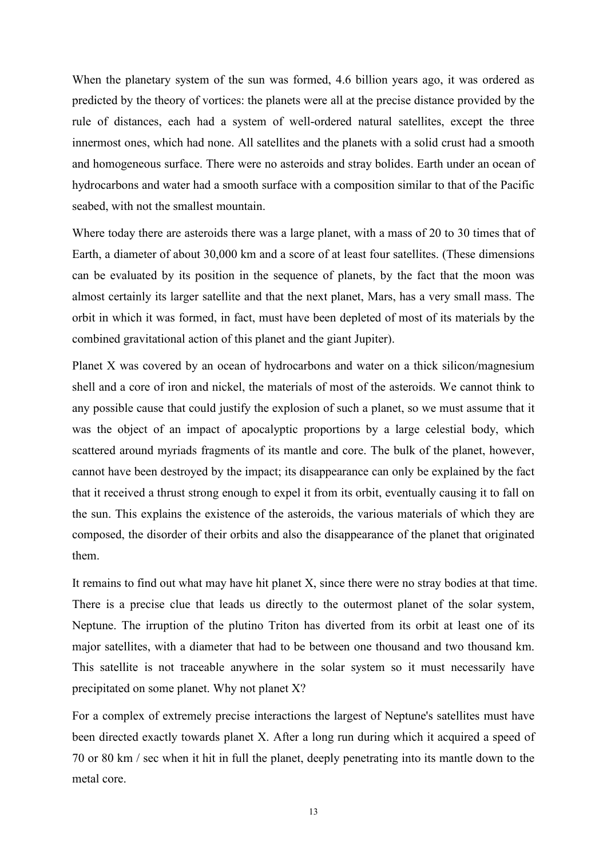When the planetary system of the sun was formed, 4.6 billion years ago, it was ordered as predicted by the theory of vortices: the planets were all at the precise distance provided by the rule of distances, each had a system of well-ordered natural satellites, except the three innermost ones, which had none. All satellites and the planets with a solid crust had a smooth and homogeneous surface. There were no asteroids and stray bolides. Earth under an ocean of hydrocarbons and water had a smooth surface with a composition similar to that of the Pacific seabed, with not the smallest mountain.

Where today there are asteroids there was a large planet, with a mass of 20 to 30 times that of Earth, a diameter of about 30,000 km and a score of at least four satellites. (These dimensions can be evaluated by its position in the sequence of planets, by the fact that the moon was almost certainly its larger satellite and that the next planet, Mars, has a very small mass. The orbit in which it was formed, in fact, must have been depleted of most of its materials by the combined gravitational action of this planet and the giant Jupiter).

Planet X was covered by an ocean of hydrocarbons and water on a thick silicon/magnesium shell and a core of iron and nickel, the materials of most of the asteroids. We cannot think to any possible cause that could justify the explosion of such a planet, so we must assume that it was the object of an impact of apocalyptic proportions by a large celestial body, which scattered around myriads fragments of its mantle and core. The bulk of the planet, however, cannot have been destroyed by the impact; its disappearance can only be explained by the fact that it received a thrust strong enough to expel it from its orbit, eventually causing it to fall on the sun. This explains the existence of the asteroids, the various materials of which they are composed, the disorder of their orbits and also the disappearance of the planet that originated them.

It remains to find out what may have hit planet X, since there were no stray bodies at that time. There is a precise clue that leads us directly to the outermost planet of the solar system, Neptune. The irruption of the plutino Triton has diverted from its orbit at least one of its major satellites, with a diameter that had to be between one thousand and two thousand km. This satellite is not traceable anywhere in the solar system so it must necessarily have precipitated on some planet. Why not planet X?

For a complex of extremely precise interactions the largest of Neptune's satellites must have been directed exactly towards planet X. After a long run during which it acquired a speed of 70 or 80 km  $/$  sec when it hit in full the planet, deeply penetrating into its mantle down to the metal core.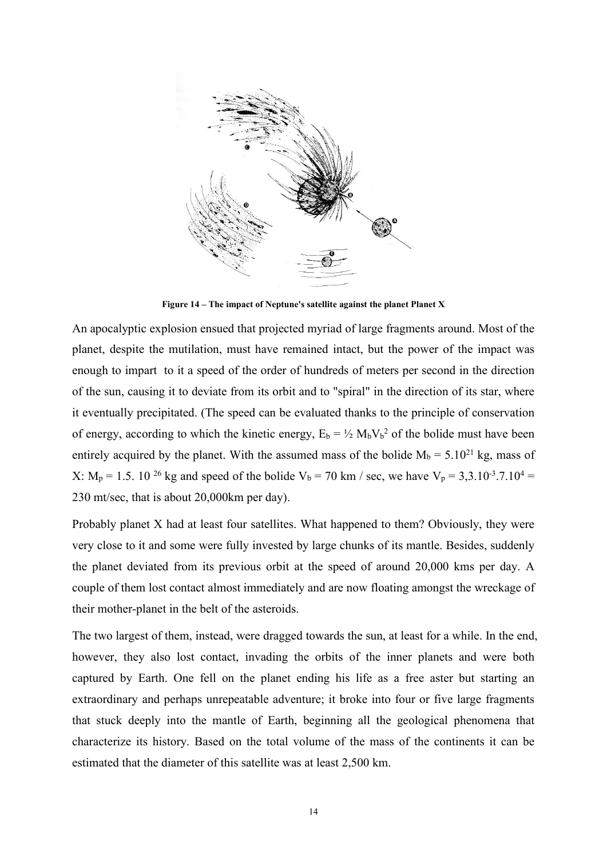

**Figure 14 – The impact of Neptune's satellite against the planet Planet X**

An apocalyptic explosion ensued that projected myriad of large fragments around. Most of the planet, despite the mutilation, must have remained intact, but the power of the impact was enough to impart to it a speed of the order of hundreds of meters per second in the direction of the sun, causing it to deviate from its orbitand to "spiral" in the direction of its star, where it eventually precipitated. (The speed can be evaluated thanks to the principle of conservation of energy, according to which the kinetic energy,  $E_b = \frac{1}{2} M_b V_b^2$  of the bolide must have been entirely acquired by the planet. With the assumed mass of the bolide  $M_b = 5.10^{21}$  kg, mass of X: M<sub>p</sub> = 1.5. 10<sup>26</sup> kg and speed of the bolide V<sub>b</sub> = 70 km / sec, we have V<sub>p</sub> = 3,3.10<sup>-3</sup>.7.10<sup>4</sup> = 230 mt/sec, that is about 20,000km per day).

Probably planet X had at least four satellites. What happened to them? Obviously, they were very close to itand some were fully invested by large chunks of its mantle. Besides, suddenly the planet deviated from its previous orbit at the speed of around 20,000 kms per day. A couple of them lost contact almost immediately and are now floating amongst the wreckage of their mother-planet in the belt of the asteroids.

The two largest of them, instead, were dragged towards the sun, at least for a while. In the end, however, they also lost contact, invading the orbits of the inner planets and were both captured by Earth. One fell on the planet ending his life as a free aster but starting an extraordinary and perhaps unrepeatable adventure; it broke into four or five large fragments that stuck deeply into the mantle of Earth, beginning all the geological phenomena that characterize its history. Based on the total volume of the mass of the continents it can be estimated that the diameter of this satellite was at least 2,500 km.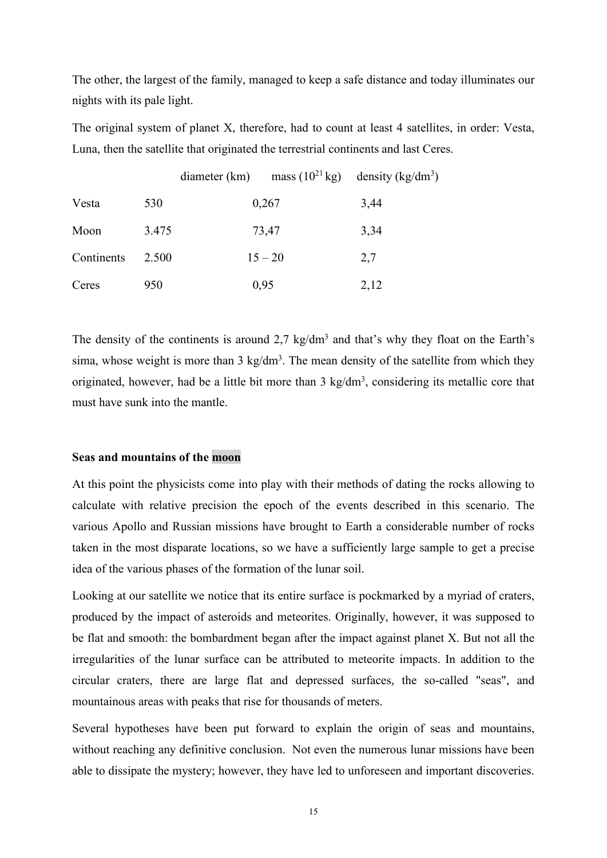The other, the largest of the family, managed to keep a safe distance and today illuminates our nights with its pale light.

The original system of planet X, therefore, had to count at least 4 satellites, in order: Vesta, Luna, then the satellite that originated the terrestrial continents and last Ceres.

|            |       | diameter (km) |           | mass $(10^{21} \text{ kg})$ density $(\text{kg/dm}^3)$ |  |
|------------|-------|---------------|-----------|--------------------------------------------------------|--|
| Vesta      | 530   |               | 0,267     | 3,44                                                   |  |
| Moon       | 3.475 |               | 73,47     | 3,34                                                   |  |
| Continents | 2.500 |               | $15 - 20$ | 2,7                                                    |  |
| Ceres      | 950   |               | 0,95      | 2,12                                                   |  |

The density of the continents is around  $2.7 \text{ kg/dm}^3$  and that's why they float on the Earth's sima, whose weight is more than 3 kg/dm<sup>3</sup>. The mean density of the satellite from which they originated, however, had be a little bit more than 3 kg/dm<sup>3</sup>, considering its metallic core that must have sunk into the mantle.

#### **Seas** and mountains of the moon

At this point the physicists come into play with their methods of dating the rocks allowing to calculate with relative precision the epoch of the events described in this scenario. The various Apollo and Russian missions have brought to Earth a considerable number of rocks taken in the most disparate locations, so we have a sufficiently large sample to get a precise idea of the various phases of the formation of the lunar soil.

Looking at our satellite we notice that its entire surface is pockmarked by a myriad of craters, produced by the impact of asteroids and meteorites.Originally, however, it was supposed to be flat and smooth: the bombardment began after the impact against planet X. But not all the irregularities of the lunar surface can be attributed to meteorite impacts. In addition to the circular craters, there are large flat and depressed surfaces, the so-called "seas", and mountainous areas with peaks that rise for thousands of meters.

Several hypotheses have been put forward to explain the origin of seas and mountains, without reaching any definitive conclusion. Not even the numerous lunar missions have been able to dissipate the mystery; however, they have led to unforeseen and important discoveries.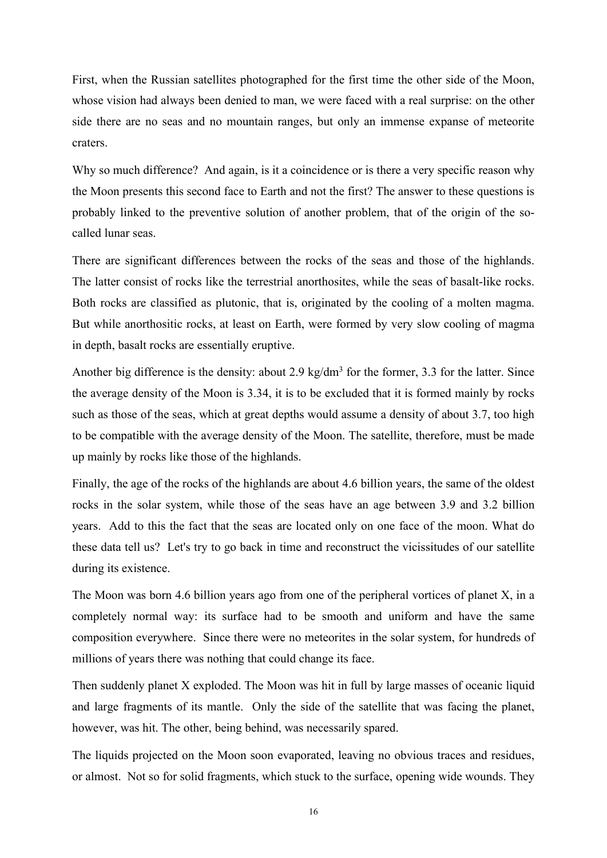First, when the Russian satellites photographed for the first time the other side of the Moon, whose vision had always been denied to man, we were faced with a real surprise: on the other side there are no seas and no mountain ranges, but only an immense expanse of meteorite craters.

Why so much difference? And again, is it a coincidence or is there a very specific reason why the Moon presents this second face to Earth and not the first? The answer to these questions is probably linked to the preventive solution of another problem, that of the origin of the so called lunar seas.

There are significant differences between the rocks of the seas and those of the highlands. The latter consist of rocks like the terrestrial anorthosites, while the seas of basalt-like rocks. Both rocks are classified as plutonic, that is, originated by the cooling of a molten magma. But while anorthositic rocks, at least on Earth, were formed by very slow cooling of magma in depth, basalt rocks are essentially eruptive.

Another big difference is the density: about 2.9 kg/dm<sup>3</sup> for the former, 3.3 for the latter. Since the average density of the Moon is 3.34, it is to be excluded that it is formed mainly by rocks such as those of the seas, which at great depths would assume a density of about 3.7, too high to be compatible with the average density of the Moon. The satellite, therefore, must be made up mainly by rocks like those of the highlands.

Finally, the age of the rocks of the highlands are about 4.6 billion years, the same of the oldest rocks in the solar system, while those of the seas have an age between 3.9 and 3.2 billion years. Add to this the fact that the seas are located only on one face of the moon. What do these data tell us? Let's try to go back in time and reconstruct the vicissitudes of our satellite during its existence.

The Moon was born 4.6 billion years ago from one of the peripheral vortices of planet X, in a completely normal way: its surface had to be smooth and uniform and have the same composition everywhere. Since there were no meteorites in the solar system, for hundreds of millions of years there was nothing that could change its face.

Then suddenly planet X exploded. The Moon was hit in full by large masses of oceanic liquid and large fragments of its mantle. Only the side of the satellite that was facing the planet, however, was hit. The other, being behind, was necessarily spared.

The liquids projected on the Moon soon evaporated, leaving no obvious traces and residues, or almost. Not so for solid fragments, which stuck to the surface, opening wide wounds.They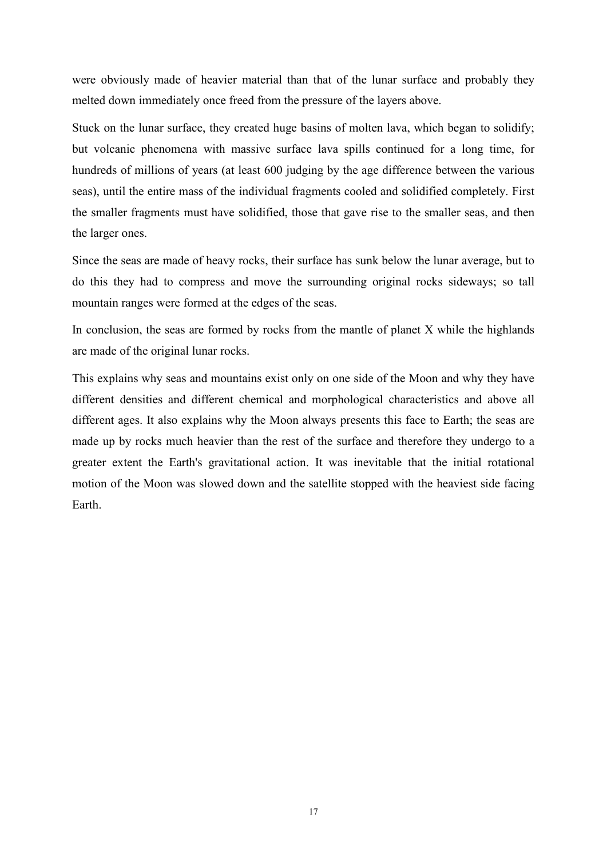were obviously made of heavier material than that of the lunar surface and probably they melted down immediately once freed from the pressure of the layers above.

Stuck on the lunar surface, they created huge basins of molten lava, which began to solidify; but volcanic phenomena with massive surface lava spills continued for a long time, for hundreds of millions of years (at least 600 judging by the age difference between the various seas), until the entire mass of the individual fragments cooled and solidified completely. First the smaller fragments must have solidified, those that gave rise to the smaller seas, and then the larger ones.

Since the seas are made of heavy rocks, their surface has sunk below the lunar average, but to do this they had to compress and move the surrounding original rocks sideways; so tall mountain ranges were formed at the edges of the seas.

In conclusion, the seas are formed by rocks from the mantle of planet  $X$  while the highlands are made of the original lunar rocks.

This explains why seas and mountains existonly on one side of the Moon and why they have different densities and different chemical and morphological characteristics and above all different ages. It also explains why the Moon always presents this face to Earth; the seas are made up by rocks much heavier than the rest of the surface and therefore they undergo to a greater extent the Earth's gravitational action. It was inevitable that the initial rotational motion of the Moon was slowed down and the satellite stopped with the heaviest side facing Earth.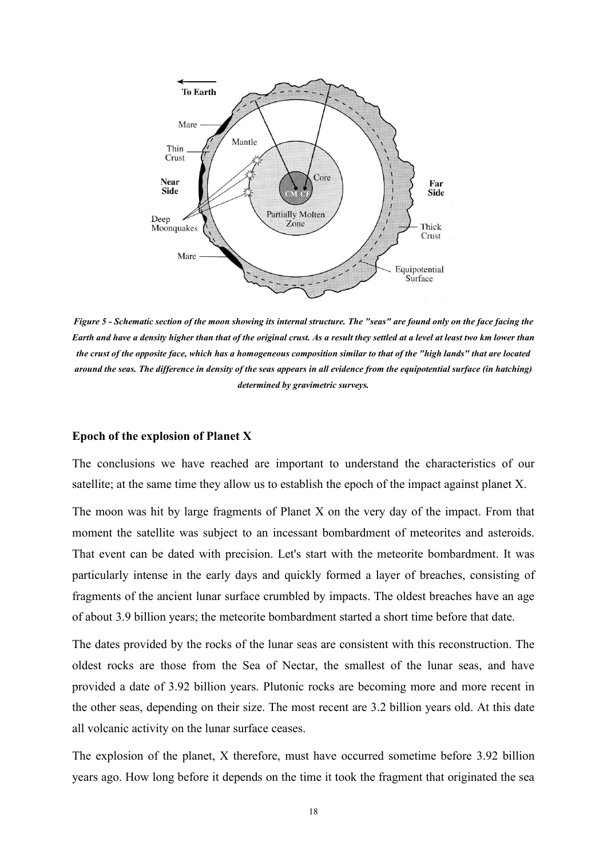

Figure 5 - Schematic section of the moon showing its internal structure. The "seas" are found only on the face facing the Earth and have a density higher than that of the original crust. As a result they settled at a level at least two km lower than the crust of the opposite face, which has a homogeneous composition similar to that of the "high lands" that are located around the seas. The difference in density of the seas appears in all evidence from the equipotential surface (in hatching) *determined by gravimetric surveys.*

#### **Epoch of the explosion of Planet X**

The conclusions we have reached are important to understand the characteristics of our satellite; at the same time they allow us to establish the epoch of the impact against planet X.

The moon was hit by large fragments of Planet X on the very day of the impact. From that moment the satellite was subject to an incessant bombardment of meteorites and asteroids. That event can be dated with precision. Let's start with the meteorite bombardment. It was particularly intense in the early days and quickly formed a layer of breaches, consisting of fragments of the ancient lunar surface crumbled by impacts. The oldest breaches have an age of about 3.9 billion years; the meteorite bombardment started a short time before that date.

The dates provided by the rocks of the lunar seas are consistent with this reconstruction. The oldest rocks are those from the Sea of Nectar, the smallest of the lunar seas, and have provided a date of 3.92 billion years. Plutonic rocks are becoming more and more recent in the other seas, depending on their size. The most recent are 3.2 billion years old. At this date all volcanic activity on the lunar surface ceases.

The explosion of the planet, X therefore, must have occurred sometime before 3.92 billion years ago. How long before it depends on the time it took the fragment that originated the sea